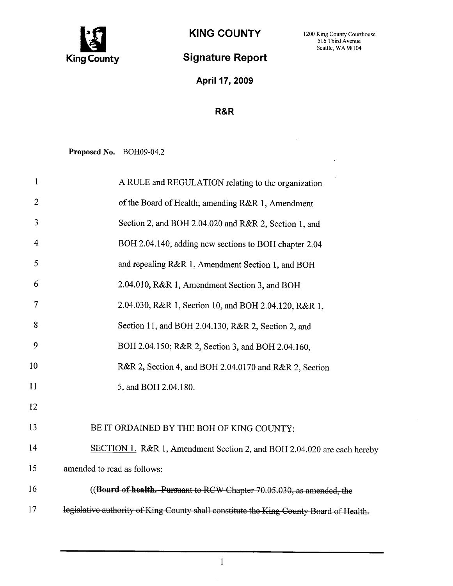

 $\ddot{\phantom{a}}$ 

 $\bar{z}$ 

## Signature Report

April 17, 2009

## R&R

Proposed No. BOH09-04.2

| $\mathbf{1}$   | A RULE and REGULATION relating to the organization                                     |
|----------------|----------------------------------------------------------------------------------------|
| $\overline{2}$ | of the Board of Health; amending R&R 1, Amendment                                      |
| 3              | Section 2, and BOH 2.04.020 and R&R 2, Section 1, and                                  |
| $\overline{4}$ | BOH 2.04.140, adding new sections to BOH chapter 2.04                                  |
| 5              | and repealing R&R 1, Amendment Section 1, and BOH                                      |
| 6              | 2.04.010, R&R 1, Amendment Section 3, and BOH                                          |
| 7              | 2.04.030, R&R 1, Section 10, and BOH 2.04.120, R&R 1,                                  |
| 8              | Section 11, and BOH 2.04.130, R&R 2, Section 2, and                                    |
| 9              | BOH 2.04.150; R&R 2, Section 3, and BOH 2.04.160,                                      |
| 10             | R&R 2, Section 4, and BOH 2.04.0170 and R&R 2, Section                                 |
| 11             | 5, and BOH 2.04.180.                                                                   |
| 12             |                                                                                        |
| 13             | BE IT ORDAINED BY THE BOH OF KING COUNTY:                                              |
| 14             | SECTION 1. R&R 1, Amendment Section 2, and BOH 2.04.020 are each hereby                |
| 15             | amended to read as follows:                                                            |
| 16             | ((Board of health. Pursuant to RCW Chapter 70.05.030, as amended, the                  |
| 17             | legislative authority of King County shall constitute the King County Board of Health. |
|                |                                                                                        |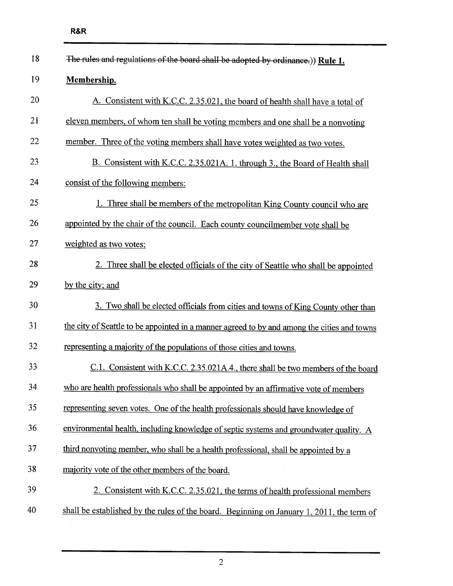| 18 | The rules and regulations of the board shall be adopted by ordinance.)) Rule 1.             |
|----|---------------------------------------------------------------------------------------------|
| 19 | Membership.                                                                                 |
| 20 | A. Consistent with K.C.C. 2.35.021, the board of health shall have a total of               |
| 21 | eleven members, of whom ten shall be voting members and one shall be a nonvoting            |
| 22 | member. Three of the voting members shall have votes weighted as two votes.                 |
| 23 | B. Consistent with K.C.C. 2.35.021A. 1. through 3., the Board of Health shall               |
| 24 | consist of the following members:                                                           |
| 25 | 1. Three shall be members of the metropolitan King County council who are                   |
| 26 | appointed by the chair of the council. Each county councilmember vote shall be              |
| 27 | weighted as two votes;                                                                      |
| 28 | 2. Three shall be elected officials of the city of Seattle who shall be appointed           |
| 29 | by the city; and                                                                            |
| 30 | 3. Two shall be elected officials from cities and towns of King County other than           |
| 31 | the city of Seattle to be appointed in a manner agreed to by and among the cities and towns |
| 32 | representing a majority of the populations of those cities and towns.                       |
| 33 | C.1. Consistent with K.C.C. 2.35.021A.4., there shall be two members of the board           |
| 34 | who are health professionals who shall be appointed by an affirmative vote of members       |
| 35 | representing seven votes. One of the health professionals should have knowledge of          |
| 36 | environmental health, including knowledge of septic systems and groundwater quality. A      |
| 37 | third nonvoting member, who shall be a health professional, shall be appointed by a         |
| 38 | majority vote of the other members of the board.                                            |
| 39 | 2. Consistent with K.C.C. 2.35.021, the terms of health professional members                |
| 40 | shall be established by the rules of the board. Beginning on January 1, 2011, the term of   |
|    |                                                                                             |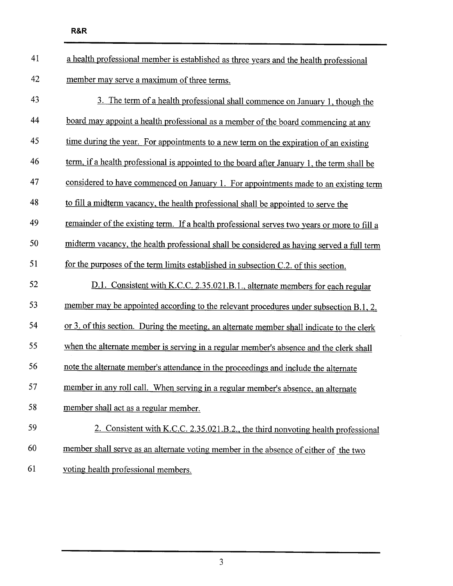| 41 | a health professional member is established as three years and the health professional      |
|----|---------------------------------------------------------------------------------------------|
| 42 | member may serve a maximum of three terms.                                                  |
| 43 | 3. The term of a health professional shall commence on January 1, though the                |
| 44 | board may appoint a health professional as a member of the board commencing at any          |
| 45 | time during the year. For appointments to a new term on the expiration of an existing       |
| 46 | term, if a health professional is appointed to the board after January 1, the term shall be |
| 47 | considered to have commenced on January 1. For appointments made to an existing term        |
| 48 | to fill a midterm vacancy, the health professional shall be appointed to serve the          |
| 49 | remainder of the existing term. If a health professional serves two years or more to fill a |
| 50 | midterm vacancy, the health professional shall be considered as having served a full term   |
| 51 | for the purposes of the term limits established in subsection C.2. of this section.         |
| 52 | D.1. Consistent with K.C.C. 2.35.021.B.1., alternate members for each regular               |
| 53 | member may be appointed according to the relevant procedures under subsection B.1, 2.       |
| 54 | or 3. of this section. During the meeting, an alternate member shall indicate to the clerk  |
| 55 | when the alternate member is serving in a regular member's absence and the clerk shall      |
| 56 | note the alternate member's attendance in the proceedings and include the alternate         |
| 57 | member in any roll call. When serving in a regular member's absence, an alternate           |
| 58 | member shall act as a regular member.                                                       |
| 59 | 2. Consistent with K.C.C. 2.35.021.B.2., the third nonvoting health professional            |
| 60 | member shall serve as an alternate voting member in the absence of either of the two        |
| 61 | voting health professional members.                                                         |

 $\mathcal{L}^{\mathcal{L}}$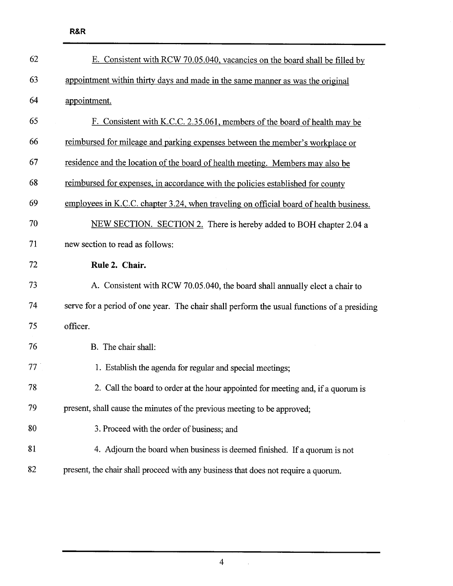| 62              | E. Consistent with RCW 70.05.040, vacancies on the board shall be filled by                |
|-----------------|--------------------------------------------------------------------------------------------|
| 63              | appointment within thirty days and made in the same manner as was the original             |
| 64              | appointment.                                                                               |
| 65              | F. Consistent with K.C.C. 2.35.061, members of the board of health may be                  |
| 66              | reimbursed for mileage and parking expenses between the member's workplace or              |
| 67              | residence and the location of the board of health meeting. Members may also be             |
| 68              | reimbursed for expenses, in accordance with the policies established for county            |
| 69              | employees in K.C.C. chapter 3.24, when traveling on official board of health business.     |
| 70              | NEW SECTION. SECTION 2. There is hereby added to BOH chapter 2.04 a                        |
| 71              | new section to read as follows:                                                            |
| 72              | Rule 2. Chair.                                                                             |
| 73              | A. Consistent with RCW 70.05.040, the board shall annually elect a chair to                |
| 74              | serve for a period of one year. The chair shall perform the usual functions of a presiding |
| 75              | officer.                                                                                   |
| 76              | B. The chair shall:                                                                        |
| 77 <sup>1</sup> | 1. Establish the agenda for regular and special meetings;                                  |
| 78              | 2. Call the board to order at the hour appointed for meeting and, if a quorum is           |
| 79              | present, shall cause the minutes of the previous meeting to be approved;                   |
| 80              | 3. Proceed with the order of business; and                                                 |
| 81              | 4. Adjourn the board when business is deemed finished. If a quorum is not                  |
| 82              | present, the chair shall proceed with any business that does not require a quorum.         |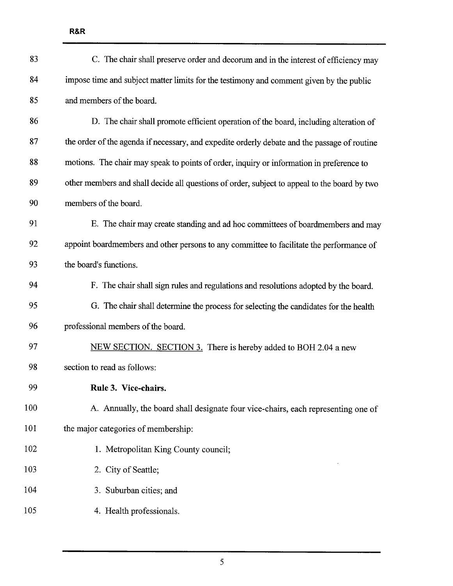| 83  | C. The chair shall preserve order and decorum and in the interest of efficiency may          |
|-----|----------------------------------------------------------------------------------------------|
| 84  | impose time and subject matter limits for the testimony and comment given by the public      |
| 85  | and members of the board.                                                                    |
| 86  | D. The chair shall promote efficient operation of the board, including alteration of         |
| 87  | the order of the agenda if necessary, and expedite orderly debate and the passage of routine |
| 88  | motions. The chair may speak to points of order, inquiry or information in preference to     |
| 89  | other members and shall decide all questions of order, subject to appeal to the board by two |
| 90  | members of the board.                                                                        |
| 91  | E. The chair may create standing and ad hoc committees of boardmembers and may               |
| 92  | appoint boardmembers and other persons to any committee to facilitate the performance of     |
| 93  | the board's functions.                                                                       |
| 94  | F. The chair shall sign rules and regulations and resolutions adopted by the board.          |
| 95  | G. The chair shall determine the process for selecting the candidates for the health         |
| 96  | professional members of the board.                                                           |
| 97  | NEW SECTION. SECTION 3. There is hereby added to BOH 2.04 a new                              |
| 98  | section to read as follows:                                                                  |
| 99  | Rule 3. Vice-chairs.                                                                         |
| 100 | A. Annually, the board shall designate four vice-chairs, each representing one of            |
| 101 | the major categories of membership:                                                          |
| 102 | 1. Metropolitan King County council;                                                         |
| 103 | 2. City of Seattle;                                                                          |
| 104 | 3. Suburban cities; and                                                                      |
| 105 | 4. Health professionals.                                                                     |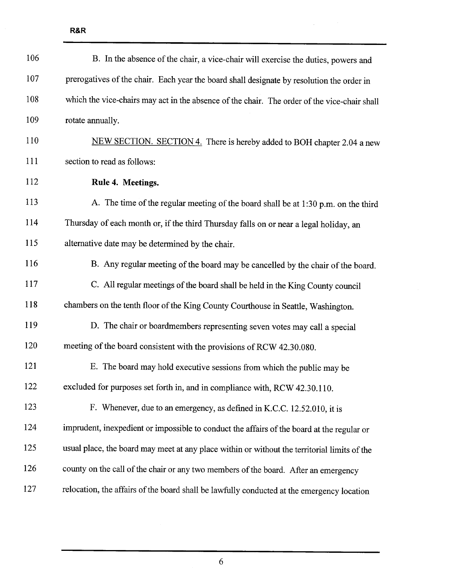| 106 | B. In the absence of the chair, a vice-chair will exercise the duties, powers and            |
|-----|----------------------------------------------------------------------------------------------|
| 107 | prerogatives of the chair. Each year the board shall designate by resolution the order in    |
| 108 | which the vice-chairs may act in the absence of the chair. The order of the vice-chair shall |
| 109 | rotate annually.                                                                             |
| 110 | NEW SECTION. SECTION 4. There is hereby added to BOH chapter 2.04 a new                      |
| 111 | section to read as follows:                                                                  |
| 112 | Rule 4. Meetings.                                                                            |
| 113 | A. The time of the regular meeting of the board shall be at 1:30 p.m. on the third           |
| 114 | Thursday of each month or, if the third Thursday falls on or near a legal holiday, an        |
| 115 | alternative date may be determined by the chair.                                             |
| 116 | B. Any regular meeting of the board may be cancelled by the chair of the board.              |
| 117 | C. All regular meetings of the board shall be held in the King County council                |
| 118 | chambers on the tenth floor of the King County Courthouse in Seattle, Washington.            |
| 119 | D. The chair or boardmembers representing seven votes may call a special                     |
| 120 | meeting of the board consistent with the provisions of RCW 42.30.080.                        |
| 121 | E. The board may hold executive sessions from which the public may be                        |
| 122 | excluded for purposes set forth in, and in compliance with, RCW 42.30.110.                   |
| 123 | F. Whenever, due to an emergency, as defined in K.C.C. 12.52.010, it is                      |
| 124 | imprudent, inexpedient or impossible to conduct the affairs of the board at the regular or   |
| 125 | usual place, the board may meet at any place within or without the territorial limits of the |
| 126 | county on the call of the chair or any two members of the board. After an emergency          |
| 127 | relocation, the affairs of the board shall be lawfully conducted at the emergency location   |

 $\label{eq:2.1} \frac{1}{\sqrt{2}}\int_{\mathbb{R}^{2}}\left|\frac{d\mathbf{r}}{d\mathbf{r}}\right|^{2}d\mathbf{r}d\mathbf{r}$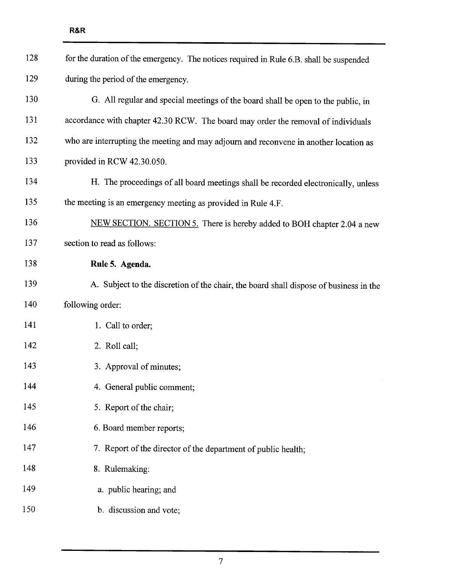| 128 | for the duration of the emergency. The notices required in Rule 6.B. shall be suspended |
|-----|-----------------------------------------------------------------------------------------|
| 129 | during the period of the emergency.                                                     |
| 130 | G. All regular and special meetings of the board shall be open to the public, in        |
| 131 | accordance with chapter 42.30 RCW. The board may order the removal of individuals       |
| 132 | who are interrupting the meeting and may adjourn and reconvene in another location as   |
| 133 | provided in RCW 42.30.050.                                                              |
| 134 | H. The proceedings of all board meetings shall be recorded electronically, unless       |
| 135 | the meeting is an emergency meeting as provided in Rule 4.F.                            |
| 136 | NEW SECTION. SECTION 5. There is hereby added to BOH chapter 2.04 a new                 |
| 137 | section to read as follows:                                                             |
| 138 | Rule 5. Agenda.                                                                         |
| 139 | A. Subject to the discretion of the chair, the board shall dispose of business in the   |
| 140 | following order:                                                                        |
| 141 | 1. Call to order;                                                                       |
| 142 | 2. Roll call;                                                                           |
| 143 | 3. Approval of minutes;                                                                 |
| 144 | 4. General public comment;                                                              |
| 145 | 5. Report of the chair;                                                                 |
| 146 | 6. Board member reports;                                                                |
| 147 | 7. Report of the director of the department of public health;                           |
| 148 | 8. Rulemaking:                                                                          |
| 149 | a. public hearing; and                                                                  |
| 150 | b. discussion and vote;                                                                 |
|     |                                                                                         |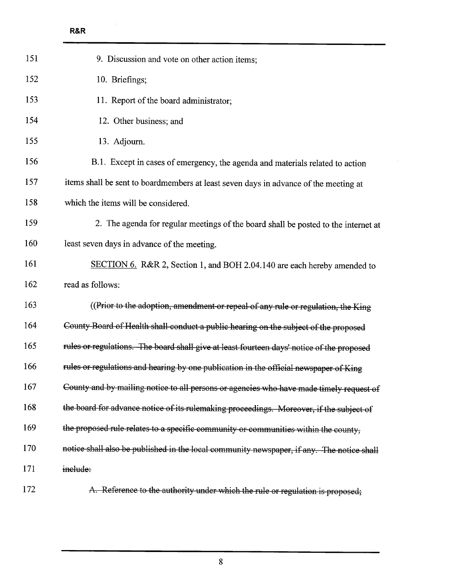$\sim$ 

| 151 | 9. Discussion and vote on other action items;                                             |
|-----|-------------------------------------------------------------------------------------------|
| 152 | 10. Briefings;                                                                            |
| 153 | 11. Report of the board administrator;                                                    |
| 154 | 12. Other business; and                                                                   |
| 155 | 13. Adjourn.                                                                              |
| 156 | B.1. Except in cases of emergency, the agenda and materials related to action             |
| 157 | items shall be sent to boardmembers at least seven days in advance of the meeting at      |
| 158 | which the items will be considered.                                                       |
| 159 | 2. The agenda for regular meetings of the board shall be posted to the internet at        |
| 160 | least seven days in advance of the meeting.                                               |
| 161 | SECTION 6. R&R 2, Section 1, and BOH 2.04.140 are each hereby amended to                  |
| 162 | read as follows:                                                                          |
| 163 | ((Prior to the adoption, amendment or repeal of any rule or regulation, the King          |
| 164 | County Board of Health shall conduct a public hearing on the subject of the proposed      |
| 165 | rules or regulations. The board shall give at least fourteen days' notice of the proposed |
| 166 | rules or regulations and hearing by one publication in the official newspaper of King     |
| 167 | County and by mailing notice to all persons or agencies who have made timely request of   |
| 168 | the board for advance notice of its rulemaking proceedings. Moreover, if the subject of   |
| 169 | the proposed rule relates to a specific community or communities within the county,       |
| 170 | notice shall also be published in the local community newspaper, if any. The notice shall |
| 171 | inelude:                                                                                  |
| 172 | A. Reference to the authority under which the rule or regulation is proposed;             |

 $\bar{z}$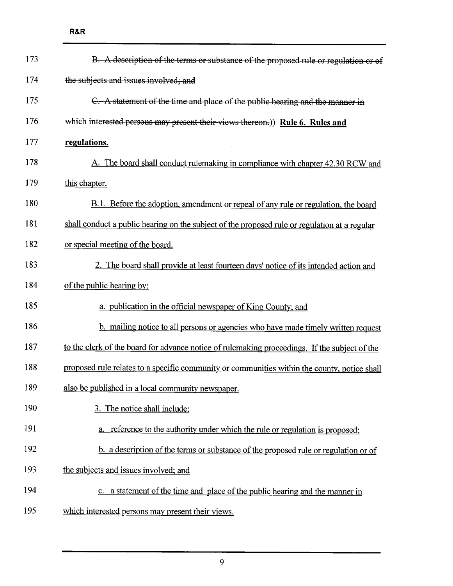| 173 | B. A description of the terms or substance of the proposed rule or regulation or of           |
|-----|-----------------------------------------------------------------------------------------------|
| 174 | the subjects and issues involved; and                                                         |
| 175 | C. A statement of the time and place of the public hearing and the manner in                  |
| 176 | which interested persons may present their views thereon.)) Rule 6. Rules and                 |
| 177 | regulations.                                                                                  |
| 178 | A. The board shall conduct rulemaking in compliance with chapter 42.30 RCW and                |
| 179 | this chapter.                                                                                 |
| 180 | <b>B.1.</b> Before the adoption, amendment or repeal of any rule or regulation, the board     |
| 181 | shall conduct a public hearing on the subject of the proposed rule or regulation at a regular |
| 182 | or special meeting of the board.                                                              |
| 183 | 2. The board shall provide at least fourteen days' notice of its intended action and          |
| 184 | of the public hearing by:                                                                     |
| 185 | a. publication in the official newspaper of King County; and                                  |
| 186 | b. mailing notice to all persons or agencies who have made timely written request             |
| 187 | to the clerk of the board for advance notice of rulemaking proceedings. If the subject of the |
| 188 | proposed rule relates to a specific community or communities within the county, notice shall  |
| 189 | also be published in a local community newspaper.                                             |
| 190 | 3. The notice shall include:                                                                  |
| 191 | reference to the authority under which the rule or regulation is proposed;                    |
| 192 | b. a description of the terms or substance of the proposed rule or regulation or of           |
| 193 | the subjects and issues involved; and                                                         |
| 194 | c. a statement of the time and place of the public hearing and the manner in                  |
| 195 | which interested persons may present their views.                                             |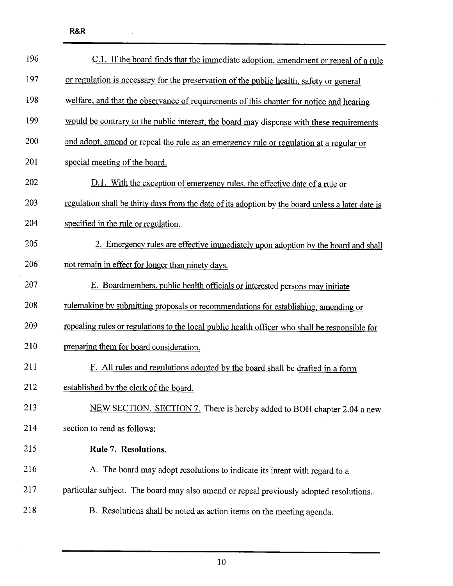| 196 | C.1. If the board finds that the immediate adoption, amendment or repeal of a rule                |
|-----|---------------------------------------------------------------------------------------------------|
| 197 | or regulation is necessary for the preservation of the public health, safety or general           |
| 198 | welfare, and that the observance of requirements of this chapter for notice and hearing           |
| 199 | would be contrary to the public interest, the board may dispense with these requirements          |
| 200 | and adopt, amend or repeal the rule as an emergency rule or regulation at a regular or            |
| 201 | special meeting of the board.                                                                     |
| 202 | D.1. With the exception of emergency rules, the effective date of a rule or                       |
| 203 | regulation shall be thirty days from the date of its adoption by the board unless a later date is |
| 204 | specified in the rule or regulation.                                                              |
| 205 | 2. Emergency rules are effective immediately upon adoption by the board and shall                 |
| 206 | not remain in effect for longer than ninety days.                                                 |
| 207 | E. Boardmembers, public health officials or interested persons may initiate                       |
| 208 | rulemaking by submitting proposals or recommendations for establishing, amending or               |
| 209 | repealing rules or regulations to the local public health officer who shall be responsible for    |
| 210 | preparing them for board consideration.                                                           |
| 211 | F. All rules and regulations adopted by the board shall be drafted in a form                      |
| 212 | established by the clerk of the board.                                                            |
| 213 | NEW SECTION. SECTION 7. There is hereby added to BOH chapter 2.04 a new                           |
| 214 | section to read as follows:                                                                       |
| 215 | Rule 7. Resolutions.                                                                              |
| 216 | A. The board may adopt resolutions to indicate its intent with regard to a                        |
| 217 | particular subject. The board may also amend or repeal previously adopted resolutions.            |
| 218 | B. Resolutions shall be noted as action items on the meeting agenda.                              |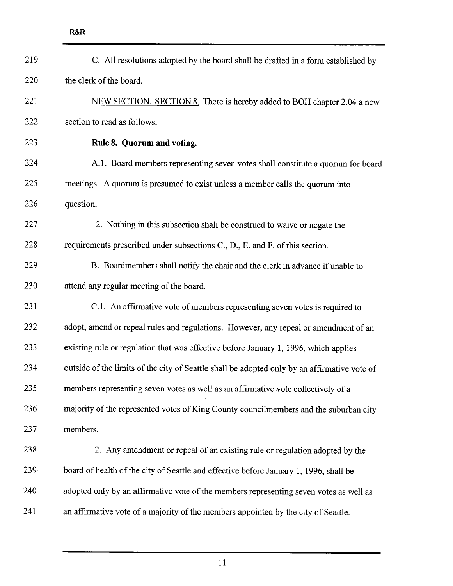| 219 | C. All resolutions adopted by the board shall be drafted in a form established by            |
|-----|----------------------------------------------------------------------------------------------|
| 220 | the clerk of the board.                                                                      |
| 221 | NEW SECTION. SECTION 8. There is hereby added to BOH chapter 2.04 a new                      |
| 222 | section to read as follows:                                                                  |
| 223 | Rule 8. Quorum and voting.                                                                   |
| 224 | A.1. Board members representing seven votes shall constitute a quorum for board              |
| 225 | meetings. A quorum is presumed to exist unless a member calls the quorum into                |
| 226 | question.                                                                                    |
| 227 | 2. Nothing in this subsection shall be construed to waive or negate the                      |
| 228 | requirements prescribed under subsections C., D., E. and F. of this section.                 |
| 229 | B. Boardmembers shall notify the chair and the clerk in advance if unable to                 |
| 230 | attend any regular meeting of the board.                                                     |
| 231 | C.1. An affirmative vote of members representing seven votes is required to                  |
| 232 | adopt, amend or repeal rules and regulations. However, any repeal or amendment of an         |
| 233 | existing rule or regulation that was effective before January 1, 1996, which applies         |
| 234 | outside of the limits of the city of Seattle shall be adopted only by an affirmative vote of |
| 235 | members representing seven votes as well as an affirmative vote collectively of a            |
| 236 | majority of the represented votes of King County councilmembers and the suburban city        |
| 237 | members.                                                                                     |
| 238 | 2. Any amendment or repeal of an existing rule or regulation adopted by the                  |
| 239 | board of health of the city of Seattle and effective before January 1, 1996, shall be        |
| 240 | adopted only by an affirmative vote of the members representing seven votes as well as       |
| 241 | an affirmative vote of a majority of the members appointed by the city of Seattle.           |
|     |                                                                                              |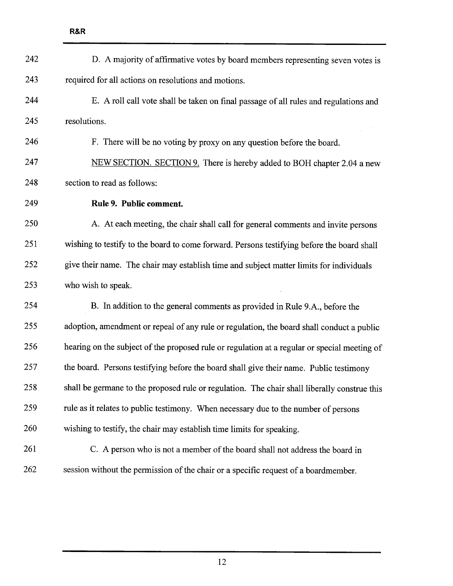| 242 | D. A majority of affirmative votes by board members representing seven votes is              |
|-----|----------------------------------------------------------------------------------------------|
| 243 | required for all actions on resolutions and motions.                                         |
| 244 | E. A roll call vote shall be taken on final passage of all rules and regulations and         |
| 245 | resolutions.                                                                                 |
| 246 | F. There will be no voting by proxy on any question before the board.                        |
| 247 | NEW SECTION. SECTION 9. There is hereby added to BOH chapter 2.04 a new                      |
| 248 | section to read as follows:                                                                  |
| 249 | Rule 9. Public comment.                                                                      |
| 250 | A. At each meeting, the chair shall call for general comments and invite persons             |
| 251 | wishing to testify to the board to come forward. Persons testifying before the board shall   |
| 252 | give their name. The chair may establish time and subject matter limits for individuals      |
| 253 | who wish to speak.                                                                           |
| 254 | B. In addition to the general comments as provided in Rule 9.A., before the                  |
| 255 | adoption, amendment or repeal of any rule or regulation, the board shall conduct a public    |
| 256 | hearing on the subject of the proposed rule or regulation at a regular or special meeting of |
| 257 | the board. Persons testifying before the board shall give their name. Public testimony       |
| 258 | shall be germane to the proposed rule or regulation. The chair shall liberally construe this |
| 259 | rule as it relates to public testimony. When necessary due to the number of persons          |
| 260 | wishing to testify, the chair may establish time limits for speaking.                        |
| 261 | C. A person who is not a member of the board shall not address the board in                  |
| 262 | session without the permission of the chair or a specific request of a boardmember.          |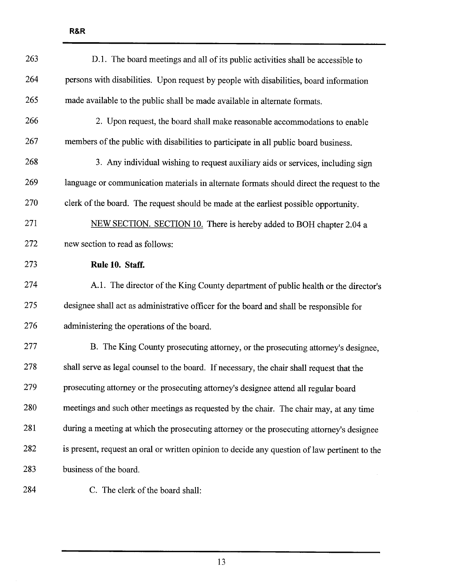| 263 | D.1. The board meetings and all of its public activities shall be accessible to               |
|-----|-----------------------------------------------------------------------------------------------|
| 264 | persons with disabilities. Upon request by people with disabilities, board information        |
| 265 | made available to the public shall be made available in alternate formats.                    |
| 266 | 2. Upon request, the board shall make reasonable accommodations to enable                     |
| 267 | members of the public with disabilities to participate in all public board business.          |
| 268 | 3. Any individual wishing to request auxiliary aids or services, including sign               |
| 269 | language or communication materials in alternate formats should direct the request to the     |
| 270 | clerk of the board. The request should be made at the earliest possible opportunity.          |
| 271 | NEW SECTION. SECTION 10. There is hereby added to BOH chapter 2.04 a                          |
| 272 | new section to read as follows:                                                               |
| 273 | Rule 10. Staff.                                                                               |
| 274 | A.1. The director of the King County department of public health or the director's            |
| 275 | designee shall act as administrative officer for the board and shall be responsible for       |
| 276 | administering the operations of the board.                                                    |
| 277 | B. The King County prosecuting attorney, or the prosecuting attorney's designee,              |
| 278 | shall serve as legal counsel to the board. If necessary, the chair shall request that the     |
| 279 | prosecuting attorney or the prosecuting attorney's designee attend all regular board          |
| 280 | meetings and such other meetings as requested by the chair. The chair may, at any time        |
| 281 | during a meeting at which the prosecuting attorney or the prosecuting attorney's designee     |
| 282 | is present, request an oral or written opinion to decide any question of law pertinent to the |
| 283 | business of the board.                                                                        |
| 284 | C. The clerk of the board shall:                                                              |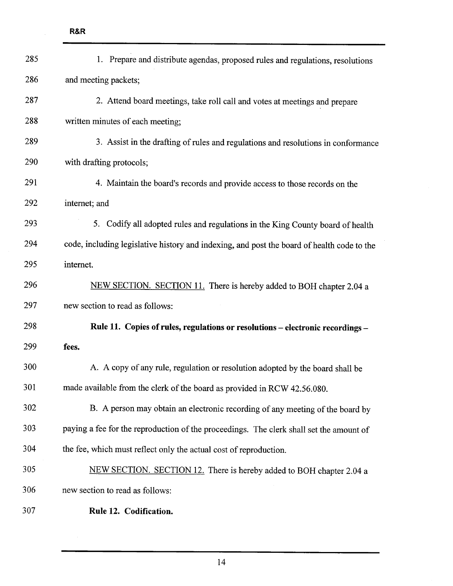| 285 | 1. Prepare and distribute agendas, proposed rules and regulations, resolutions             |
|-----|--------------------------------------------------------------------------------------------|
| 286 | and meeting packets;                                                                       |
| 287 | 2. Attend board meetings, take roll call and votes at meetings and prepare                 |
| 288 | written minutes of each meeting;                                                           |
| 289 | 3. Assist in the drafting of rules and regulations and resolutions in conformance          |
| 290 | with drafting protocols;                                                                   |
| 291 | 4. Maintain the board's records and provide access to those records on the                 |
| 292 | internet; and                                                                              |
| 293 | 5. Codify all adopted rules and regulations in the King County board of health             |
| 294 | code, including legislative history and indexing, and post the board of health code to the |
| 295 | internet.                                                                                  |
| 296 | NEW SECTION. SECTION 11. There is hereby added to BOH chapter 2.04 a                       |
| 297 | new section to read as follows:                                                            |
| 298 | Rule 11. Copies of rules, regulations or resolutions - electronic recordings -             |
| 299 | fees.                                                                                      |
| 300 | A. A copy of any rule, regulation or resolution adopted by the board shall be              |
| 301 | made available from the clerk of the board as provided in RCW 42.56.080.                   |
| 302 | B. A person may obtain an electronic recording of any meeting of the board by              |
| 303 | paying a fee for the reproduction of the proceedings. The clerk shall set the amount of    |
| 304 | the fee, which must reflect only the actual cost of reproduction.                          |
| 305 | NEW SECTION. SECTION 12. There is hereby added to BOH chapter 2.04 a                       |
| 306 | new section to read as follows:                                                            |
| 307 | Rule 12. Codification.                                                                     |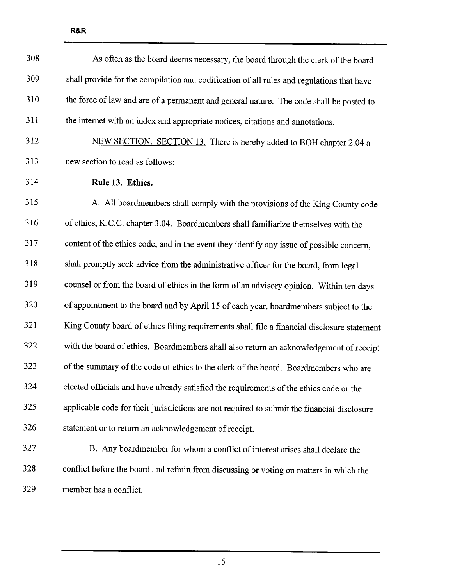| 308 | As often as the board deems necessary, the board through the clerk of the board             |
|-----|---------------------------------------------------------------------------------------------|
| 309 | shall provide for the compilation and codification of all rules and regulations that have   |
| 310 | the force of law and are of a permanent and general nature. The code shall be posted to     |
| 311 | the internet with an index and appropriate notices, citations and annotations.              |
| 312 | NEW SECTION. SECTION 13. There is hereby added to BOH chapter 2.04 a                        |
| 313 | new section to read as follows:                                                             |
| 314 | Rule 13. Ethics.                                                                            |
| 315 | A. All boardmembers shall comply with the provisions of the King County code                |
| 316 | of ethics, K.C.C. chapter 3.04. Boardmembers shall familiarize themselves with the          |
| 317 | content of the ethics code, and in the event they identify any issue of possible concern,   |
| 318 | shall promptly seek advice from the administrative officer for the board, from legal        |
| 319 | counsel or from the board of ethics in the form of an advisory opinion. Within ten days     |
| 320 | of appointment to the board and by April 15 of each year, boardmembers subject to the       |
| 321 | King County board of ethics filing requirements shall file a financial disclosure statement |
| 322 | with the board of ethics. Boardmembers shall also return an acknowledgement of receipt      |
| 323 | of the summary of the code of ethics to the clerk of the board. Boardmembers who are        |
| 324 | elected officials and have already satisfied the requirements of the ethics code or the     |
| 325 | applicable code for their jurisdictions are not required to submit the financial disclosure |
| 326 | statement or to return an acknowledgement of receipt.                                       |
| 327 | B. Any boardmember for whom a conflict of interest arises shall declare the                 |
| 328 | conflict before the board and refrain from discussing or voting on matters in which the     |
| 329 | member has a conflict.                                                                      |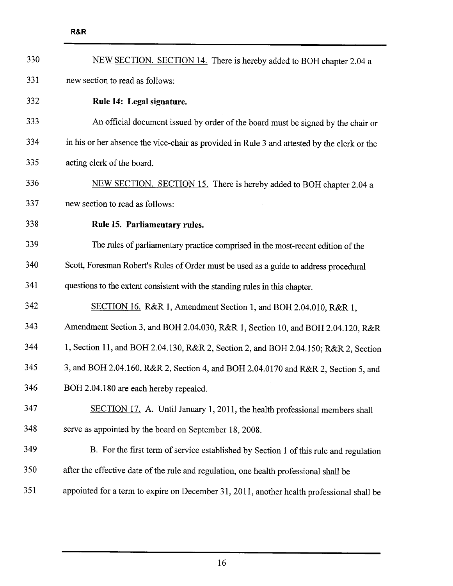| 330 | NEW SECTION. SECTION 14. There is hereby added to BOH chapter 2.04 a                        |
|-----|---------------------------------------------------------------------------------------------|
| 331 | new section to read as follows:                                                             |
| 332 | Rule 14: Legal signature.                                                                   |
| 333 | An official document issued by order of the board must be signed by the chair or            |
| 334 | in his or her absence the vice-chair as provided in Rule 3 and attested by the clerk or the |
| 335 | acting clerk of the board.                                                                  |
| 336 | NEW SECTION. SECTION 15. There is hereby added to BOH chapter 2.04 a                        |
| 337 | new section to read as follows:                                                             |
| 338 | Rule 15. Parliamentary rules.                                                               |
| 339 | The rules of parliamentary practice comprised in the most-recent edition of the             |
| 340 | Scott, Foresman Robert's Rules of Order must be used as a guide to address procedural       |
| 341 | questions to the extent consistent with the standing rules in this chapter.                 |
| 342 | SECTION 16. R&R 1, Amendment Section 1, and BOH 2.04.010, R&R 1,                            |
| 343 | Amendment Section 3, and BOH 2.04.030, R&R 1, Section 10, and BOH 2.04.120, R&R             |
| 344 | 1, Section 11, and BOH 2.04.130, R&R 2, Section 2, and BOH 2.04.150; R&R 2, Section         |
| 345 | 3, and BOH 2.04.160, R&R 2, Section 4, and BOH 2.04.0170 and R&R 2, Section 5, and          |
| 346 | BOH 2.04.180 are each hereby repealed.                                                      |
| 347 | SECTION 17. A. Until January 1, 2011, the health professional members shall                 |
| 348 | serve as appointed by the board on September 18, 2008.                                      |
| 349 | B. For the first term of service established by Section 1 of this rule and regulation       |
| 350 | after the effective date of the rule and regulation, one health professional shall be       |
| 351 | appointed for a term to expire on December 31, 2011, another health professional shall be   |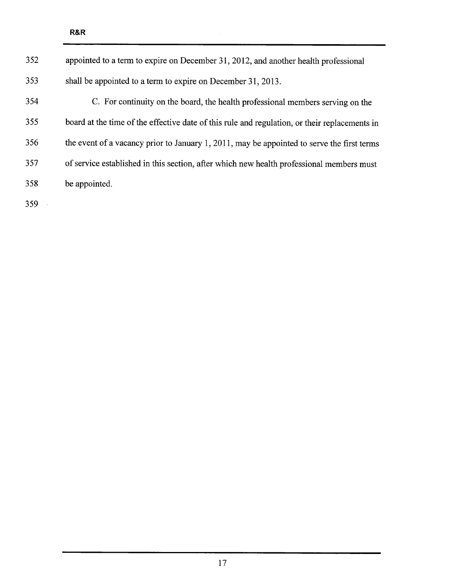| 352 | appointed to a term to expire on December 31, 2012, and another health professional           |
|-----|-----------------------------------------------------------------------------------------------|
| 353 | shall be appointed to a term to expire on December 31, 2013.                                  |
| 354 | C. For continuity on the board, the health professional members serving on the                |
| 355 | board at the time of the effective date of this rule and regulation, or their replacements in |
| 356 | the event of a vacancy prior to January 1, 2011, may be appointed to serve the first terms    |
| 357 | of service established in this section, after which new health professional members must      |
| 358 | be appointed.                                                                                 |
|     |                                                                                               |

 $\mathcal{A}^{\mathcal{A}}$